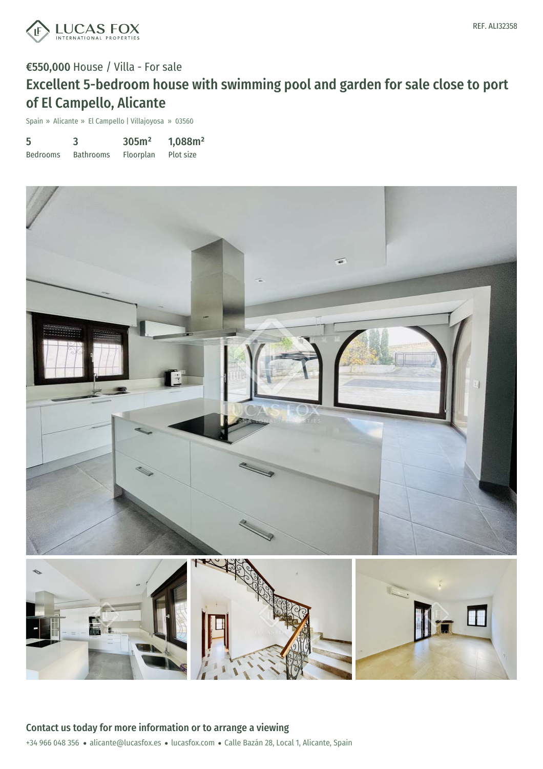

## €550,000 House / Villa - For sale Excellent 5-bedroom house with swimming pool and garden for sale close to port of El Campello, Alicante

Spain » Alicante » El Campello | Villajoyosa » 03560

| 5               |                  | 305m <sup>2</sup> | 1,088m <sup>2</sup> |
|-----------------|------------------|-------------------|---------------------|
| <b>Bedrooms</b> | <b>Bathrooms</b> | Floorplan         | Plot size           |

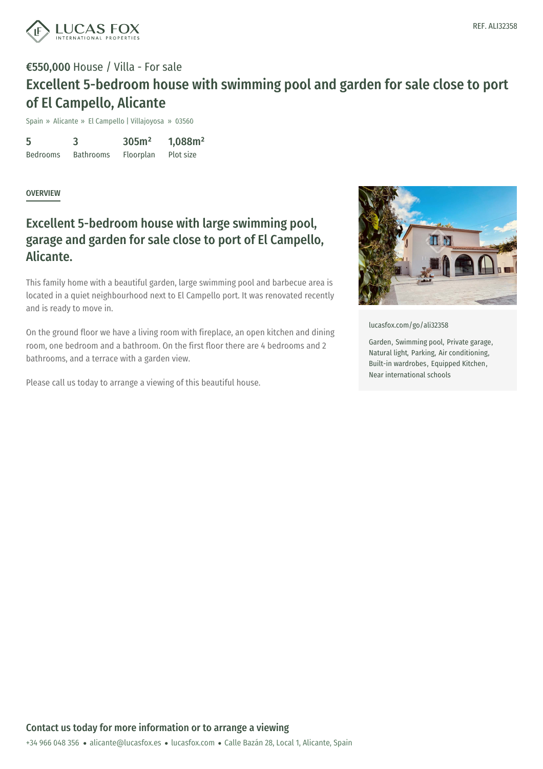

## €550,000 House / Villa - For sale Excellent 5-bedroom house with swimming pool and garden for sale close to port of El Campello, Alicante

Spain » Alicante » El Campello | Villajoyosa » 03560

5 Bedrooms 3 Bathrooms 305m² Floorplan 1,088m² Plot size

OVERVIEW

## Excellent 5-bedroom house with large swimming pool, garage and garden for sale close to port of El Campello, Alicante.

This family home with a beautiful garden, large swimming pool and barbecue area is located in a quiet neighbourhood next to El Campello port. It was renovated recently and is ready to move in.

On the ground floor we have a living room with fireplace, an open kitchen and dining room, one bedroom and a bathroom. On the first floor there are 4 bedrooms and 2 bathrooms, and a terrace with a garden view.

Please call us today to arrange a viewing of this beautiful house.



[lucasfox.com/go/ali32358](https://www.lucasfox.com/go/ali32358)

Garden, Swimming pool, Private garage, Natural light, Parking, Air conditioning, Built-in wardrobes, Equipped Kitchen, Near international schools